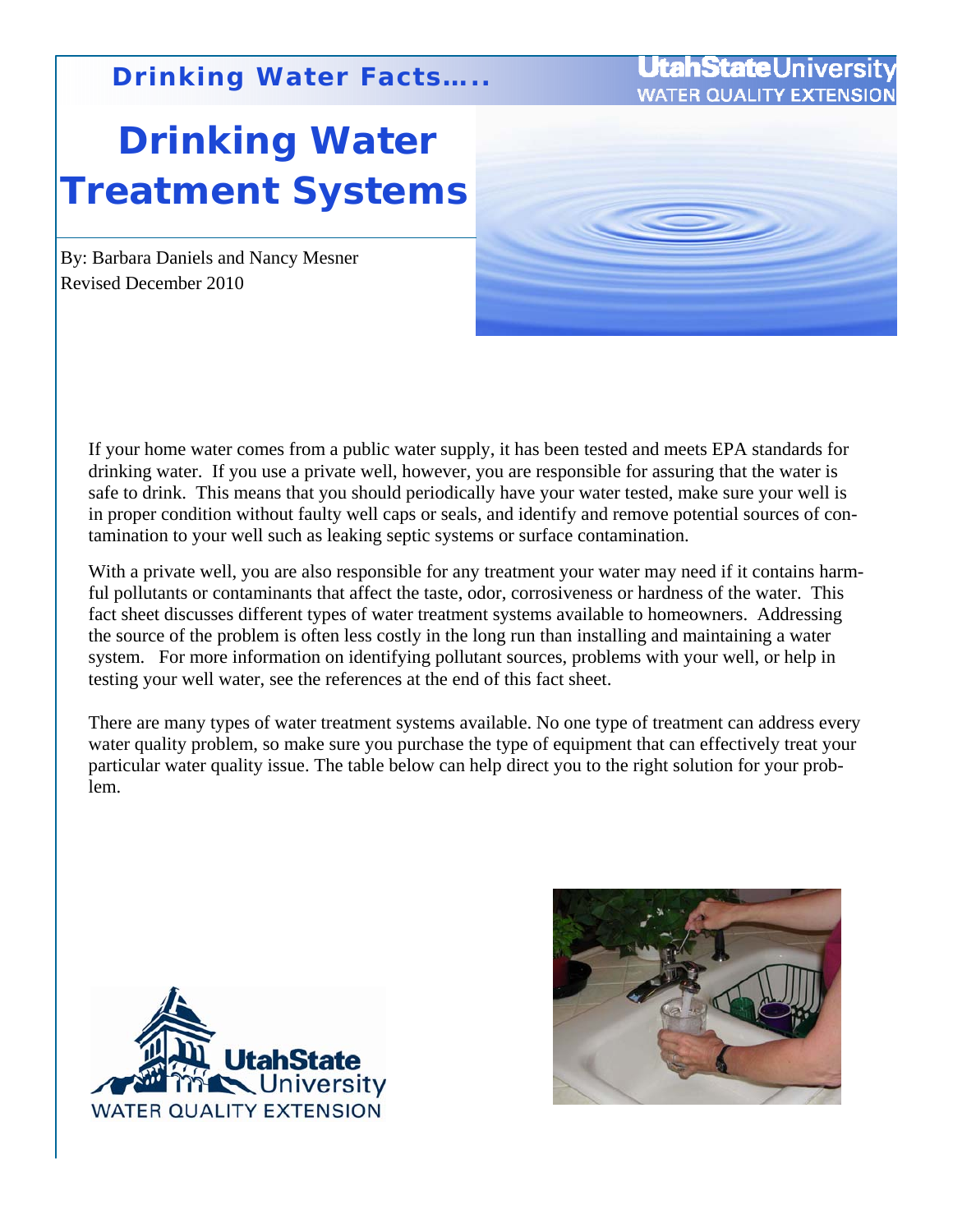# **Drinking Water Treatment Systems**

#### By: Barbara Daniels and Nancy Mesner Revised December 2010

If your home water comes from a public water supply, it has been tested and meets EPA standards for drinking water. If you use a private well, however, you are responsible for assuring that the water is safe to drink. This means that you should periodically have your water tested, make sure your well is in proper condition without faulty well caps or seals, and identify and remove potential sources of contamination to your well such as leaking septic systems or surface contamination.

With a private well, you are also responsible for any treatment your water may need if it contains harmful pollutants or contaminants that affect the taste, odor, corrosiveness or hardness of the water. This fact sheet discusses different types of water treatment systems available to homeowners. Addressing the source of the problem is often less costly in the long run than installing and maintaining a water system. For more information on identifying pollutant sources, problems with your well, or help in testing your well water, see the references at the end of this fact sheet.

There are many types of water treatment systems available. No one type of treatment can address every water quality problem, so make sure you purchase the type of equipment that can effectively treat your particular water quality issue. The table below can help direct you to the right solution for your problem.





**UtahState**Univers **WATER QUALITY EX**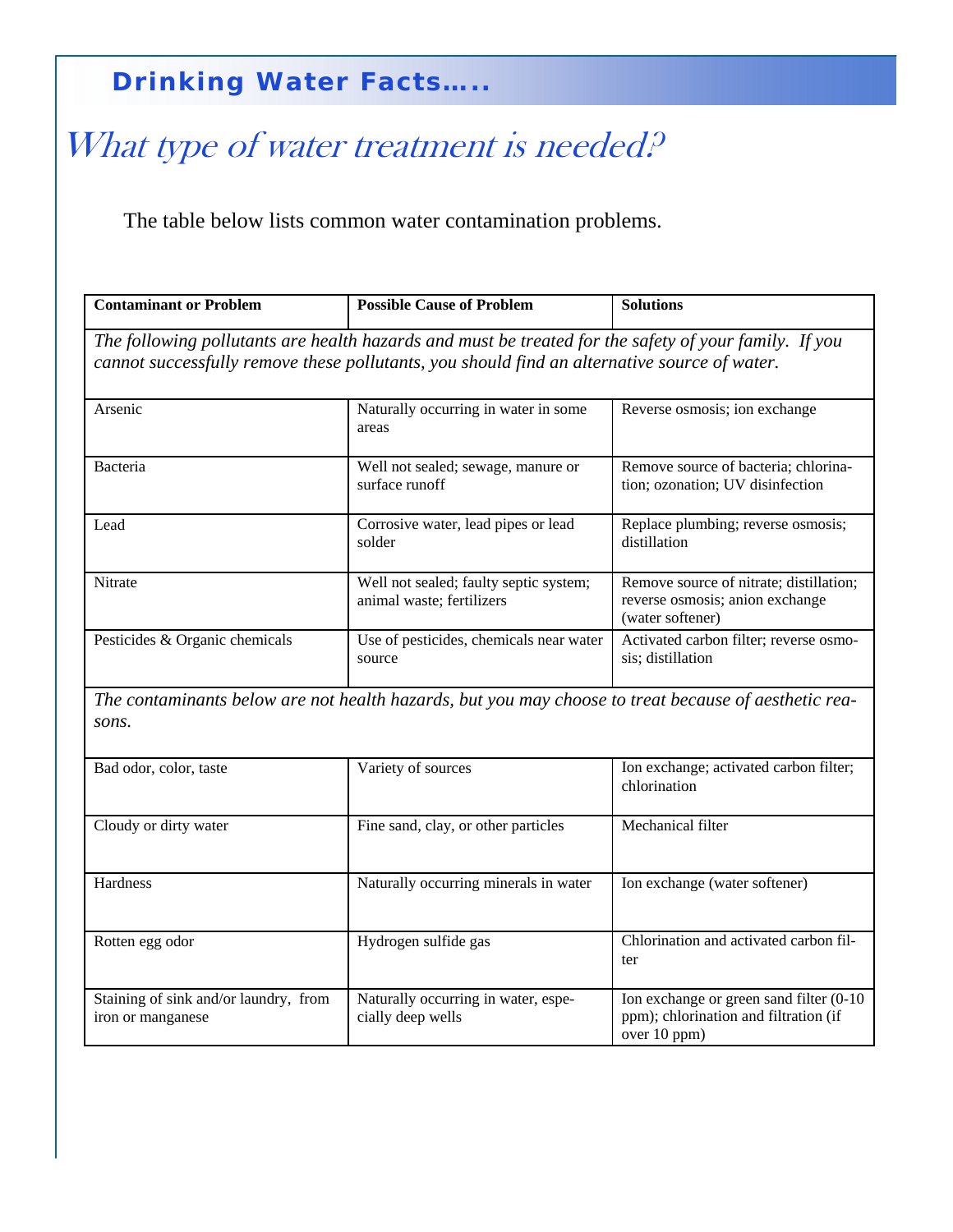## What type of water treatment is needed?

The table below lists common water contamination problems.

| <b>Contaminant or Problem</b>                                                                                                                                                                         | <b>Possible Cause of Problem</b>                                    | <b>Solutions</b>                                                                               |  |
|-------------------------------------------------------------------------------------------------------------------------------------------------------------------------------------------------------|---------------------------------------------------------------------|------------------------------------------------------------------------------------------------|--|
| The following pollutants are health hazards and must be treated for the safety of your family. If you<br>cannot successfully remove these pollutants, you should find an alternative source of water. |                                                                     |                                                                                                |  |
| Arsenic                                                                                                                                                                                               | Naturally occurring in water in some<br>areas                       | Reverse osmosis; ion exchange                                                                  |  |
| <b>Bacteria</b>                                                                                                                                                                                       | Well not sealed; sewage, manure or<br>surface runoff                | Remove source of bacteria; chlorina-<br>tion; ozonation; UV disinfection                       |  |
| Lead                                                                                                                                                                                                  | Corrosive water, lead pipes or lead<br>solder                       | Replace plumbing; reverse osmosis;<br>distillation                                             |  |
| Nitrate                                                                                                                                                                                               | Well not sealed; faulty septic system;<br>animal waste; fertilizers | Remove source of nitrate; distillation;<br>reverse osmosis; anion exchange<br>(water softener) |  |
| Pesticides & Organic chemicals                                                                                                                                                                        | Use of pesticides, chemicals near water<br>source                   | Activated carbon filter; reverse osmo-<br>sis; distillation                                    |  |
| The contaminants below are not health hazards, but you may choose to treat because of aesthetic rea-<br>sons.                                                                                         |                                                                     |                                                                                                |  |
| Bad odor, color, taste                                                                                                                                                                                | Variety of sources                                                  | Ion exchange; activated carbon filter;<br>chlorination                                         |  |
| Cloudy or dirty water                                                                                                                                                                                 | Fine sand, clay, or other particles                                 | Mechanical filter                                                                              |  |
| Hardness                                                                                                                                                                                              | Naturally occurring minerals in water                               | Ion exchange (water softener)                                                                  |  |

| Rotten egg odor                       | Hydrogen sulfide gas                | Chlorination and activated carbon fil-   |
|---------------------------------------|-------------------------------------|------------------------------------------|
|                                       |                                     | ter                                      |
|                                       |                                     |                                          |
| Staining of sink and/or laundry, from | Naturally occurring in water, espe- | Ion exchange or green sand filter (0-10) |
| tron or manganese                     | cially deep wells                   | ppm); chlorination and filtration (if    |
|                                       |                                     | over 10 ppm)                             |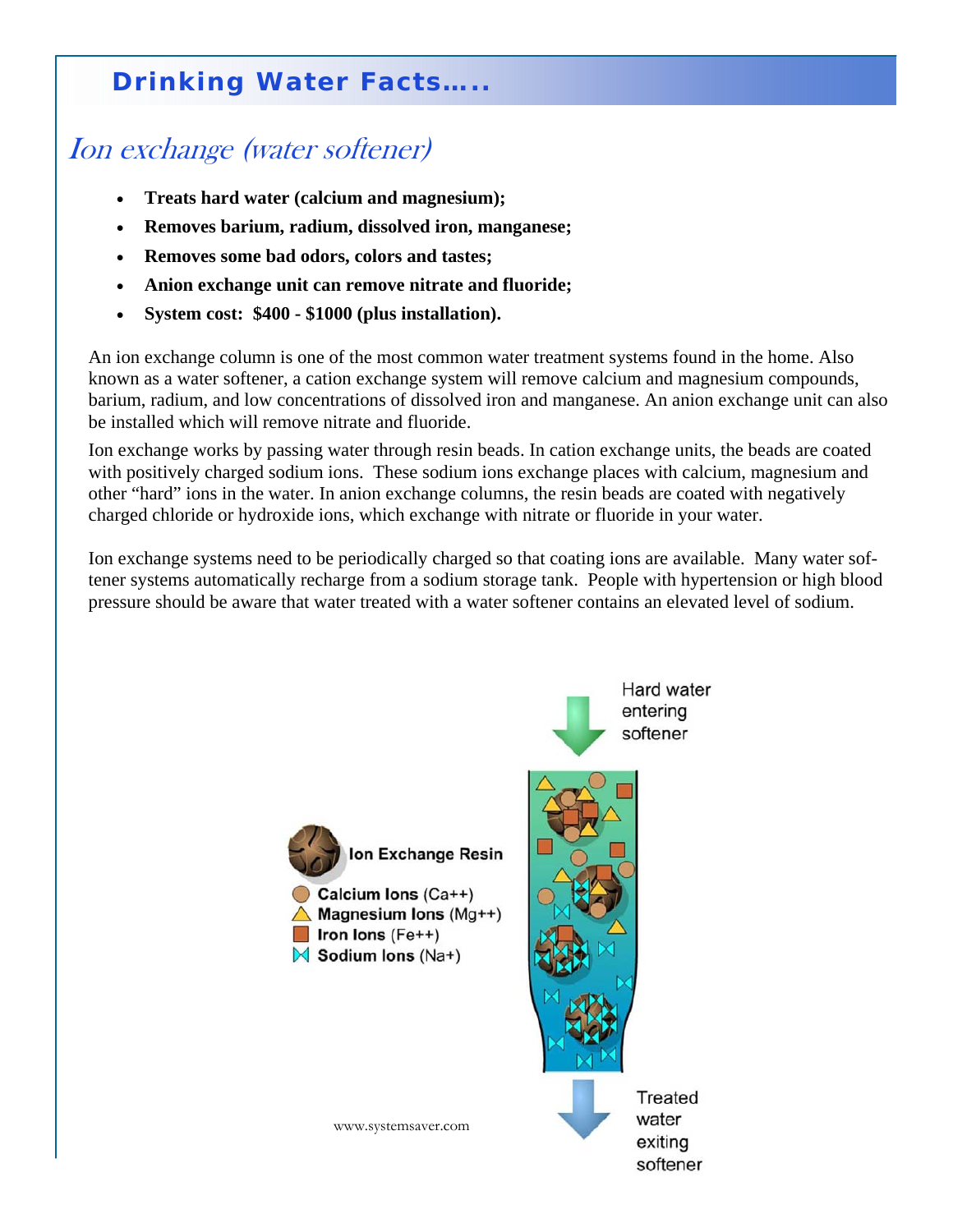### Ion exchange (water softener)

- **Treats hard water (calcium and magnesium);**
- **Removes barium, radium, dissolved iron, manganese;**
- **Removes some bad odors, colors and tastes;**
- **Anion exchange unit can remove nitrate and fluoride;**
- **System cost: \$400 \$1000 (plus installation).**

An ion exchange column is one of the most common water treatment systems found in the home. Also known as a water softener, a cation exchange system will remove calcium and magnesium compounds, barium, radium, and low concentrations of dissolved iron and manganese. An anion exchange unit can also be installed which will remove nitrate and fluoride.

Ion exchange works by passing water through resin beads. In cation exchange units, the beads are coated with positively charged sodium ions. These sodium ions exchange places with calcium, magnesium and other "hard" ions in the water. In anion exchange columns, the resin beads are coated with negatively charged chloride or hydroxide ions, which exchange with nitrate or fluoride in your water.

Ion exchange systems need to be periodically charged so that coating ions are available. Many water softener systems automatically recharge from a sodium storage tank. People with hypertension or high blood pressure should be aware that water treated with a water softener contains an elevated level of sodium.

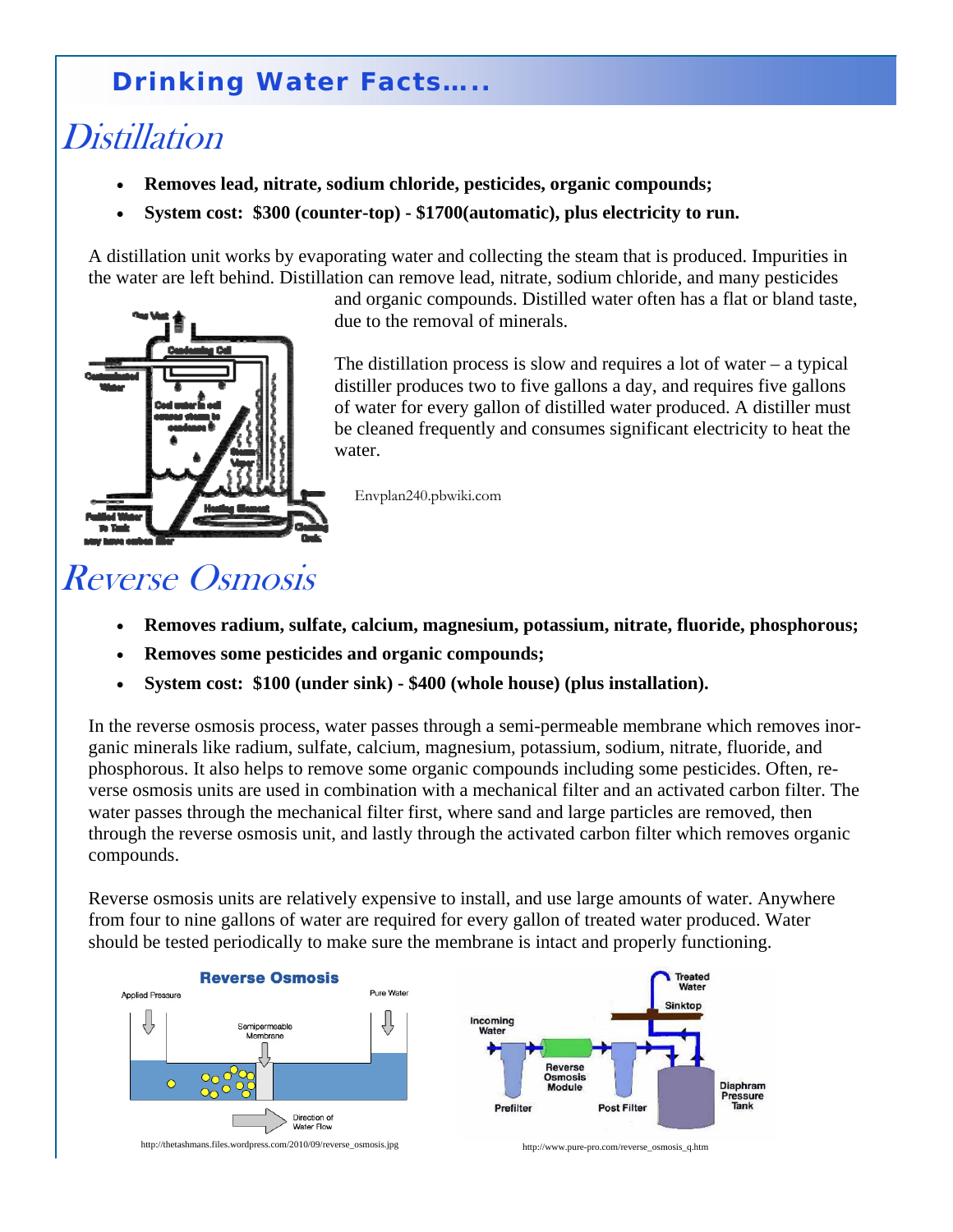## **Distillation**

- **Removes lead, nitrate, sodium chloride, pesticides, organic compounds;**
- **System cost: \$300 (counter-top) \$1700(automatic), plus electricity to run.**

A distillation unit works by evaporating water and collecting the steam that is produced. Impurities in the water are left behind. Distillation can remove lead, nitrate, sodium chloride, and many pesticides



and organic compounds. Distilled water often has a flat or bland taste, due to the removal of minerals.

The distillation process is slow and requires a lot of water – a typical distiller produces two to five gallons a day, and requires five gallons of water for every gallon of distilled water produced. A distiller must be cleaned frequently and consumes significant electricity to heat the water.

Envplan240.pbwiki.com

## Reverse Osmosis

- **Removes radium, sulfate, calcium, magnesium, potassium, nitrate, fluoride, phosphorous;**
- **Removes some pesticides and organic compounds;**
- **System cost: \$100 (under sink) \$400 (whole house) (plus installation).**

In the reverse osmosis process, water passes through a semi-permeable membrane which removes inorganic minerals like radium, sulfate, calcium, magnesium, potassium, sodium, nitrate, fluoride, and phosphorous. It also helps to remove some organic compounds including some pesticides. Often, reverse osmosis units are used in combination with a mechanical filter and an activated carbon filter. The water passes through the mechanical filter first, where sand and large particles are removed, then through the reverse osmosis unit, and lastly through the activated carbon filter which removes organic compounds.

Reverse osmosis units are relatively expensive to install, and use large amounts of water. Anywhere from four to nine gallons of water are required for every gallon of treated water produced. Water should be tested periodically to make sure the membrane is intact and properly functioning.

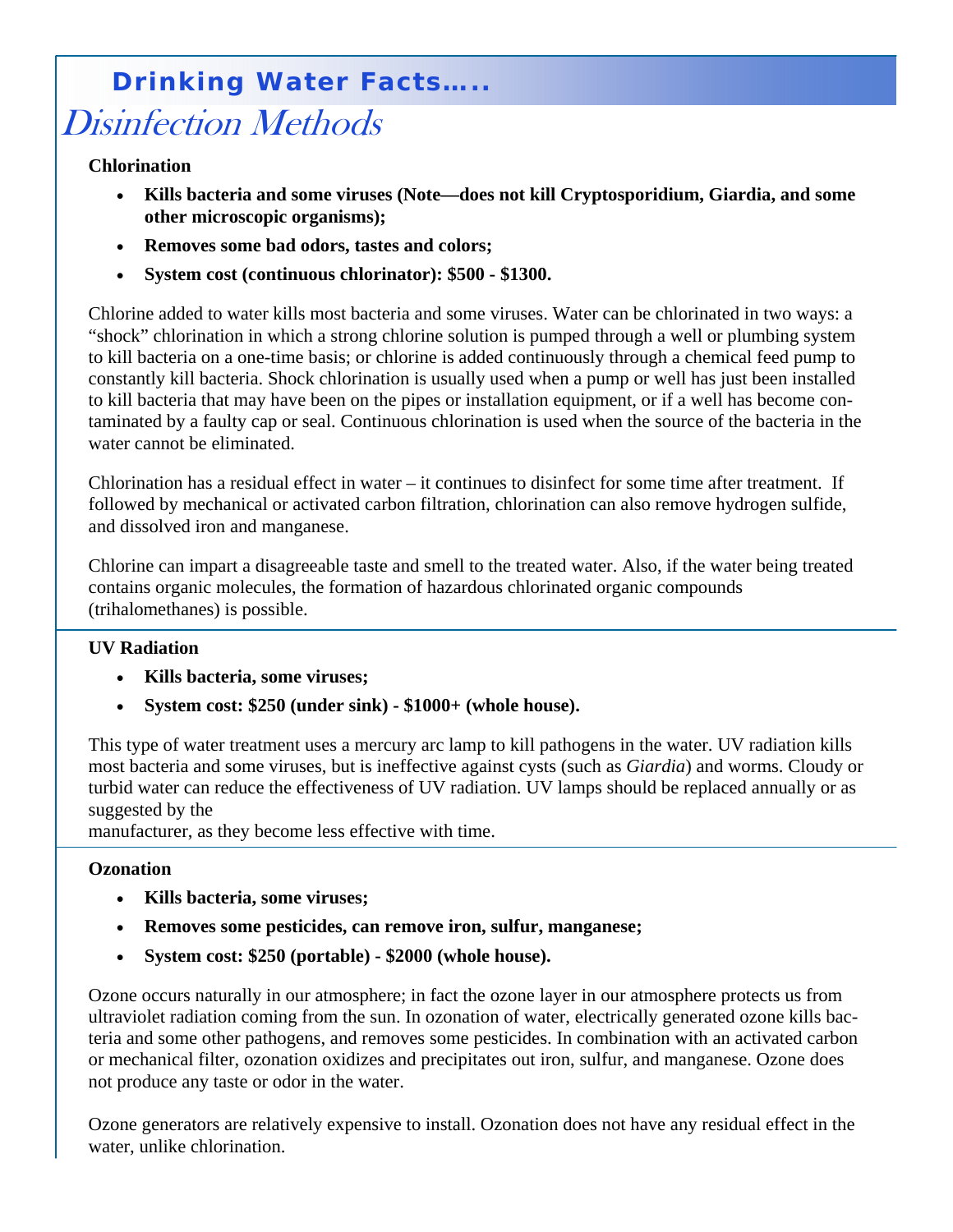## Disinfection Methods  **Drinking Water Facts…..**

**Chlorination** 

- **Kills bacteria and some viruses (Note—does not kill Cryptosporidium, Giardia, and some other microscopic organisms);**
- **Removes some bad odors, tastes and colors;**
- **System cost (continuous chlorinator): \$500 \$1300.**

Chlorine added to water kills most bacteria and some viruses. Water can be chlorinated in two ways: a "shock" chlorination in which a strong chlorine solution is pumped through a well or plumbing system to kill bacteria on a one-time basis; or chlorine is added continuously through a chemical feed pump to constantly kill bacteria. Shock chlorination is usually used when a pump or well has just been installed to kill bacteria that may have been on the pipes or installation equipment, or if a well has become contaminated by a faulty cap or seal. Continuous chlorination is used when the source of the bacteria in the water cannot be eliminated.

Chlorination has a residual effect in water – it continues to disinfect for some time after treatment. If followed by mechanical or activated carbon filtration, chlorination can also remove hydrogen sulfide, and dissolved iron and manganese.

Chlorine can impart a disagreeable taste and smell to the treated water. Also, if the water being treated contains organic molecules, the formation of hazardous chlorinated organic compounds (trihalomethanes) is possible.

#### **UV Radiation**

- **Kills bacteria, some viruses;**
- **System cost: \$250 (under sink) \$1000+ (whole house).**

This type of water treatment uses a mercury arc lamp to kill pathogens in the water. UV radiation kills most bacteria and some viruses, but is ineffective against cysts (such as *Giardia*) and worms. Cloudy or turbid water can reduce the effectiveness of UV radiation. UV lamps should be replaced annually or as suggested by the

manufacturer, as they become less effective with time.

#### **Ozonation**

- **Kills bacteria, some viruses;**
- **Removes some pesticides, can remove iron, sulfur, manganese;**
- **System cost: \$250 (portable) \$2000 (whole house).**

Ozone occurs naturally in our atmosphere; in fact the ozone layer in our atmosphere protects us from ultraviolet radiation coming from the sun. In ozonation of water, electrically generated ozone kills bacteria and some other pathogens, and removes some pesticides. In combination with an activated carbon or mechanical filter, ozonation oxidizes and precipitates out iron, sulfur, and manganese. Ozone does not produce any taste or odor in the water.

Ozone generators are relatively expensive to install. Ozonation does not have any residual effect in the water, unlike chlorination.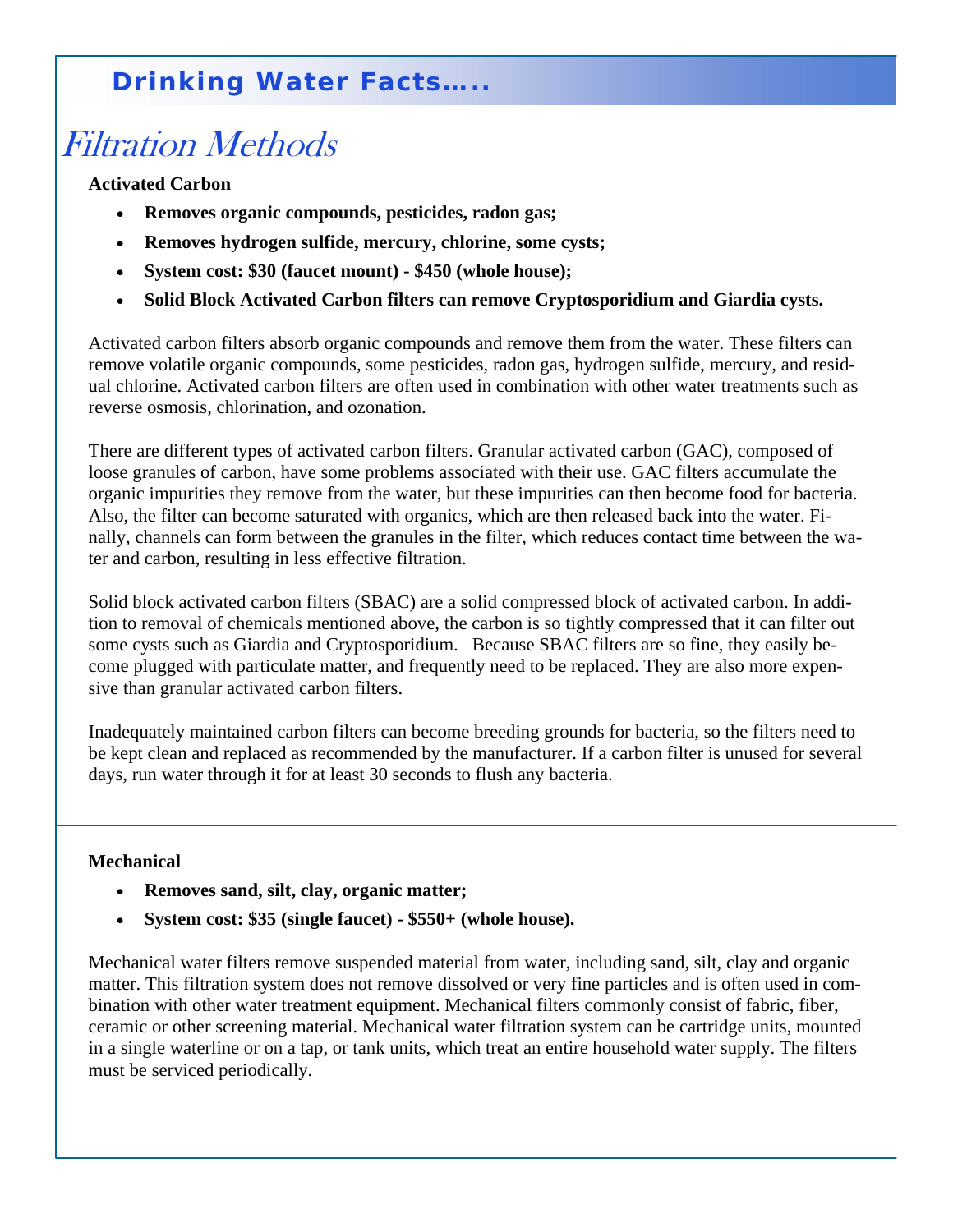## Filtration Methods

**Activated Carbon** 

- **Removes organic compounds, pesticides, radon gas;**
- **Removes hydrogen sulfide, mercury, chlorine, some cysts;**
- **System cost: \$30 (faucet mount) \$450 (whole house);**
- **Solid Block Activated Carbon filters can remove Cryptosporidium and Giardia cysts.**

Activated carbon filters absorb organic compounds and remove them from the water. These filters can remove volatile organic compounds, some pesticides, radon gas, hydrogen sulfide, mercury, and residual chlorine. Activated carbon filters are often used in combination with other water treatments such as reverse osmosis, chlorination, and ozonation.

There are different types of activated carbon filters. Granular activated carbon (GAC), composed of loose granules of carbon, have some problems associated with their use. GAC filters accumulate the organic impurities they remove from the water, but these impurities can then become food for bacteria. Also, the filter can become saturated with organics, which are then released back into the water. Finally, channels can form between the granules in the filter, which reduces contact time between the water and carbon, resulting in less effective filtration.

Solid block activated carbon filters (SBAC) are a solid compressed block of activated carbon. In addition to removal of chemicals mentioned above, the carbon is so tightly compressed that it can filter out some cysts such as Giardia and Cryptosporidium. Because SBAC filters are so fine, they easily become plugged with particulate matter, and frequently need to be replaced. They are also more expensive than granular activated carbon filters.

Inadequately maintained carbon filters can become breeding grounds for bacteria, so the filters need to be kept clean and replaced as recommended by the manufacturer. If a carbon filter is unused for several days, run water through it for at least 30 seconds to flush any bacteria.

#### **Mechanical**

- **Removes sand, silt, clay, organic matter;**
- **System cost: \$35 (single faucet) \$550+ (whole house).**

Mechanical water filters remove suspended material from water, including sand, silt, clay and organic matter. This filtration system does not remove dissolved or very fine particles and is often used in combination with other water treatment equipment. Mechanical filters commonly consist of fabric, fiber, ceramic or other screening material. Mechanical water filtration system can be cartridge units, mounted in a single waterline or on a tap, or tank units, which treat an entire household water supply. The filters must be serviced periodically.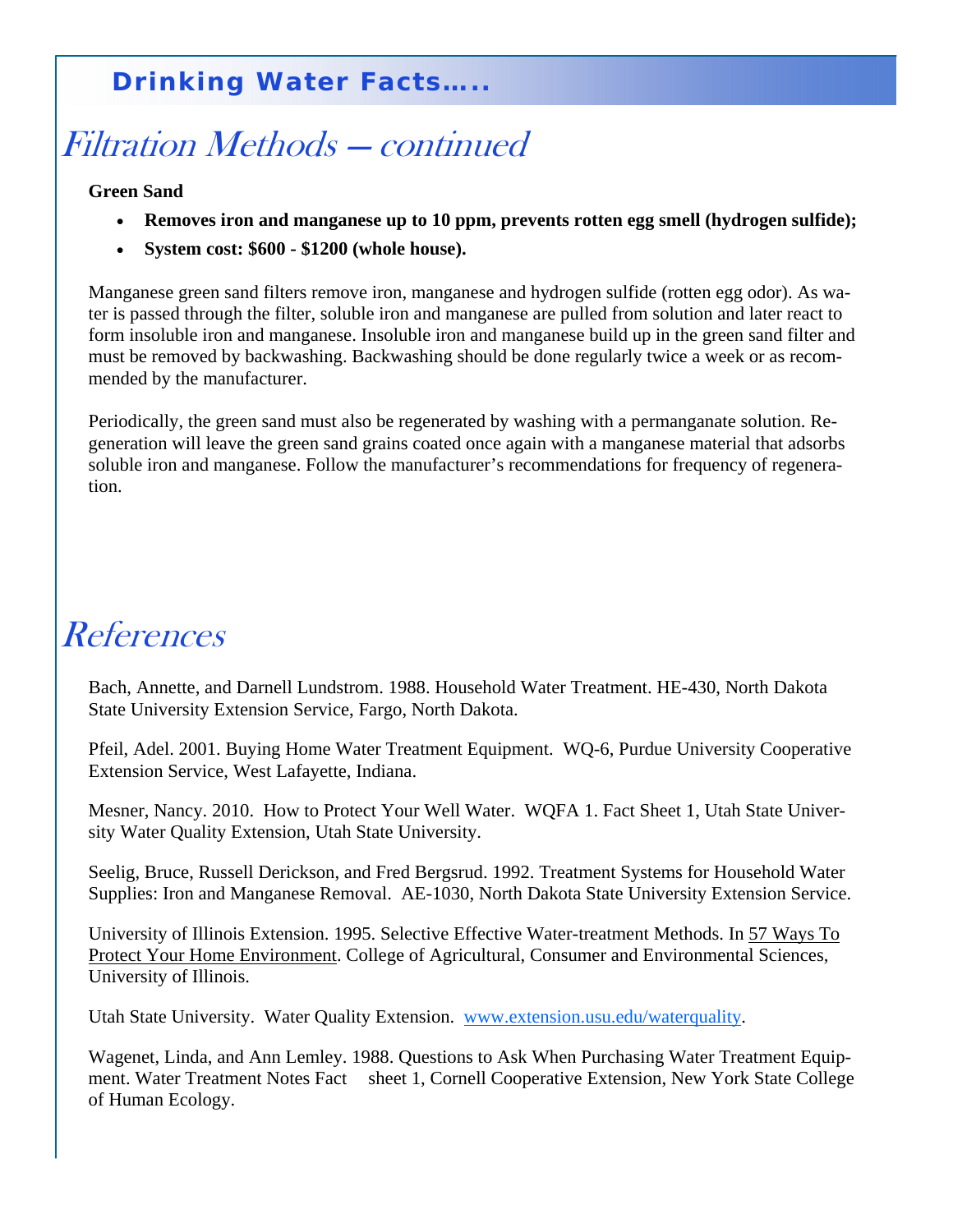## Filtration Methods — continued

#### **Green Sand**

- **Removes iron and manganese up to 10 ppm, prevents rotten egg smell (hydrogen sulfide);**
- **System cost: \$600 \$1200 (whole house).**

Manganese green sand filters remove iron, manganese and hydrogen sulfide (rotten egg odor). As water is passed through the filter, soluble iron and manganese are pulled from solution and later react to form insoluble iron and manganese. Insoluble iron and manganese build up in the green sand filter and must be removed by backwashing. Backwashing should be done regularly twice a week or as recommended by the manufacturer.

Periodically, the green sand must also be regenerated by washing with a permanganate solution. Regeneration will leave the green sand grains coated once again with a manganese material that adsorbs soluble iron and manganese. Follow the manufacturer's recommendations for frequency of regeneration.

## References

Bach, Annette, and Darnell Lundstrom. 1988. Household Water Treatment. HE-430, North Dakota State University Extension Service, Fargo, North Dakota.

Pfeil, Adel. 2001. Buying Home Water Treatment Equipment. WQ-6, Purdue University Cooperative Extension Service, West Lafayette, Indiana.

Mesner, Nancy. 2010. How to Protect Your Well Water. WQFA 1. Fact Sheet 1, Utah State University Water Quality Extension, Utah State University.

Seelig, Bruce, Russell Derickson, and Fred Bergsrud. 1992. Treatment Systems for Household Water Supplies: Iron and Manganese Removal. AE-1030, North Dakota State University Extension Service.

University of Illinois Extension. 1995. Selective Effective Water-treatment Methods. In 57 Ways To Protect Your Home Environment. College of Agricultural, Consumer and Environmental Sciences, University of Illinois.

Utah State University. Water Quality Extension. www.extension.usu.edu/waterquality.

Wagenet, Linda, and Ann Lemley. 1988. Questions to Ask When Purchasing Water Treatment Equipment. Water Treatment Notes Fact sheet 1, Cornell Cooperative Extension, New York State College of Human Ecology.